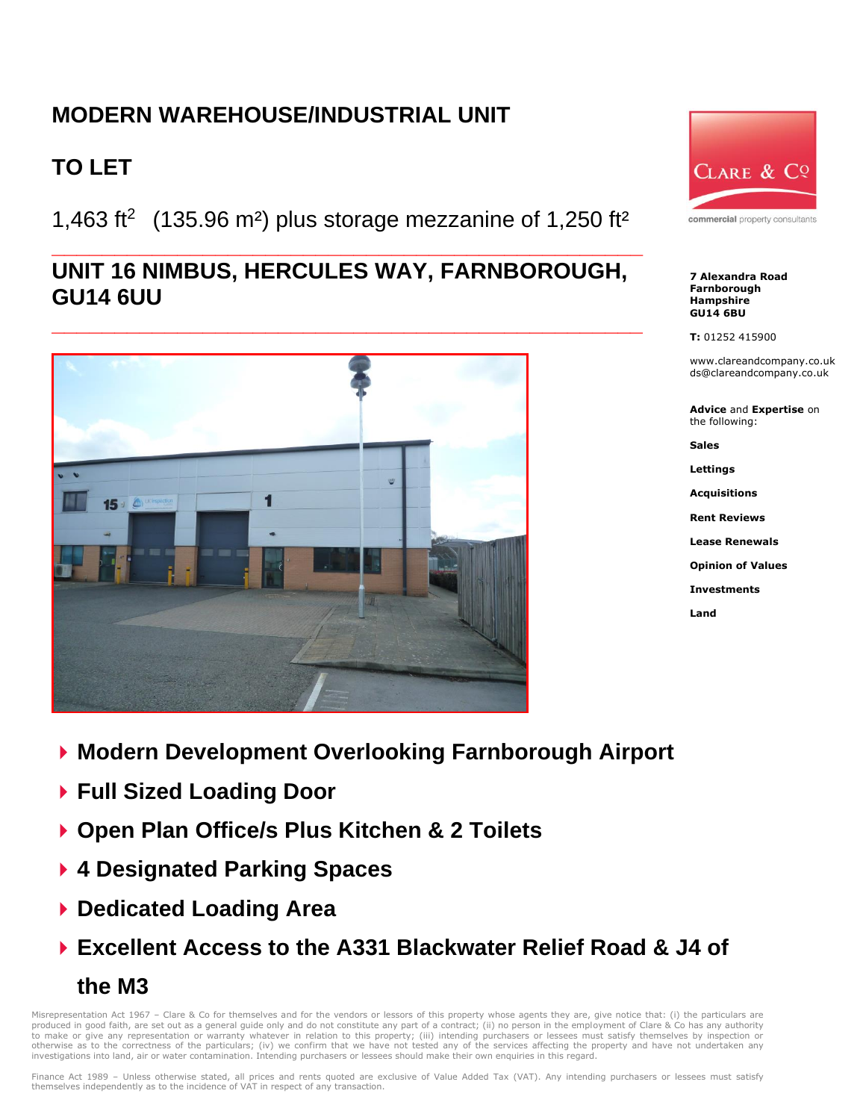## **MODERN WAREHOUSE/INDUSTRIAL UNIT**

# **TO LET**

1,463 ft<sup>2</sup> (135.96 m<sup>2</sup>) plus storage mezzanine of 1,250 ft<sup>2</sup>

## **\_\_\_\_\_\_\_\_\_\_\_\_\_\_\_\_\_\_\_\_\_\_\_\_\_\_\_\_\_\_\_\_\_\_\_\_\_\_\_\_\_\_\_\_\_\_\_ UNIT 16 NIMBUS, HERCULES WAY, FARNBOROUGH, GU14 6UU**



CLARE & CQ

commercial property consultants

**7 Alexandra Road Farnborough Hampshire GU14 6BU**

**T:** 01252 415900

www.clareandcompany.co.uk ds@clareandcompany.co.uk

**Advice** and **Expertise** on the following:

**Sales**

**Lettings**

**Acquisitions**

**Rent Reviews**

**Lease Renewals**

**Opinion of Values**

**Investments**

**Land**

- **Modern Development Overlooking Farnborough Airport**
- **Full Sized Loading Door**
- **Open Plan Office/s Plus Kitchen & 2 Toilets**
- **4 Designated Parking Spaces**
- **Dedicated Loading Area**
- **Excellent Access to the A331 Blackwater Relief Road & J4 of the M3**

Misrepresentation Act 1967 - Clare & Co for themselves and for the vendors or lessors of this property whose agents they are, give notice that: (i) the particulars are produced in good faith, are set out as a general guide only and do not constitute any part of a contract; (ii) no person in the employment of Clare & Co has any authority<br>to make or give any representation or warranty what investigations into land, air or water contamination. Intending purchasers or lessees should make their own enquiries in this regard.

Finance Act 1989 - Unless otherwise stated, all prices and rents quoted are exclusive of Value Added Tax (VAT). Any intending purchasers or lessees must satisfy themselves independently as to the incidence of VAT in respect of any transaction.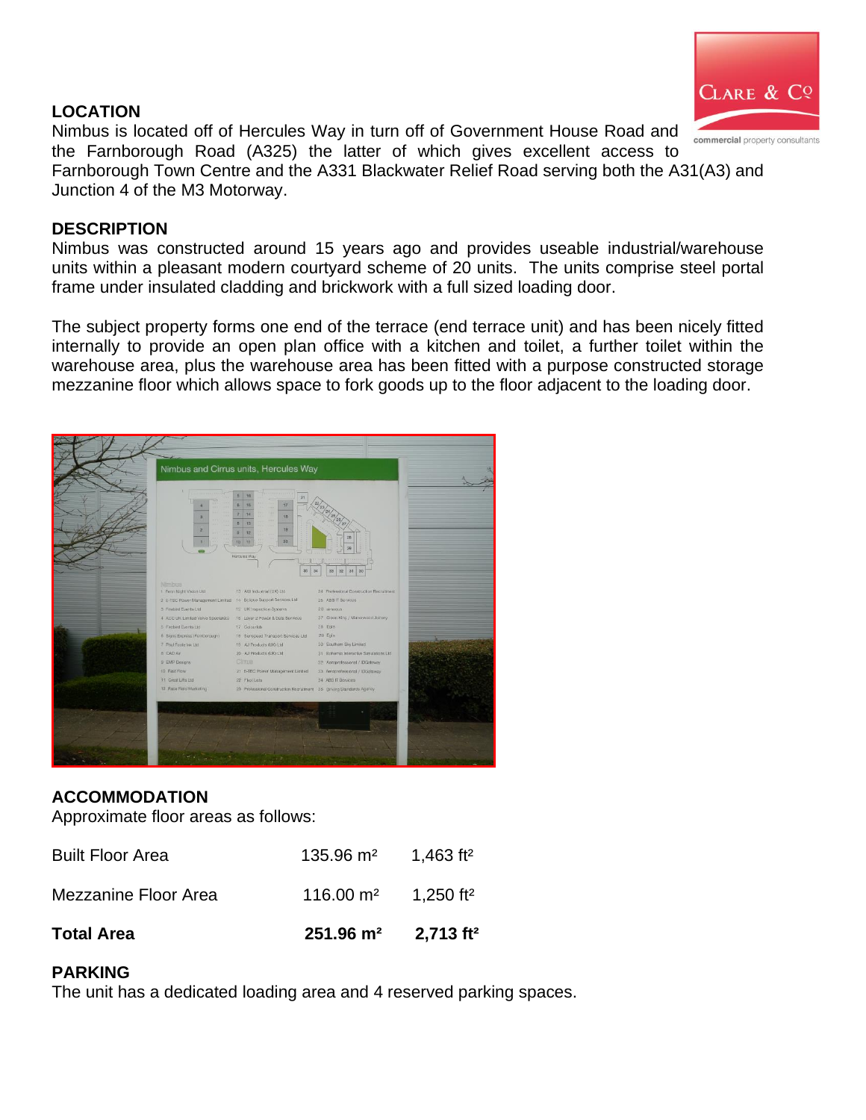### **LOCATION**



Nimbus is located off of Hercules Way in turn off of Government House Road and the Farnborough Road (A325) the latter of which gives excellent access to Farnborough Town Centre and the A331 Blackwater Relief Road serving both the A31(A3) and Junction 4 of the M3 Motorway.

#### **DESCRIPTION**

Nimbus was constructed around 15 years ago and provides useable industrial/warehouse units within a pleasant modern courtyard scheme of 20 units. The units comprise steel portal frame under insulated cladding and brickwork with a full sized loading door.

The subject property forms one end of the terrace (end terrace unit) and has been nicely fitted internally to provide an open plan office with a kitchen and toilet, a further toilet within the warehouse area, plus the warehouse area has been fitted with a purpose constructed storage mezzanine floor which allows space to fork goods up to the floor adjacent to the loading door.



## **ACCOMMODATION**

Approximate floor areas as follows:

| <b>Total Area</b>       | $251.96 \text{ m}^2$ 2.713 ft <sup>2</sup>  |                       |
|-------------------------|---------------------------------------------|-----------------------|
| Mezzanine Floor Area    | 116.00 $\mathrm{m}^2$ 1,250 ft <sup>2</sup> |                       |
| <b>Built Floor Area</b> | $135.96 \text{ m}^2$                        | 1,463 ft <sup>2</sup> |

## **PARKING**

The unit has a dedicated loading area and 4 reserved parking spaces.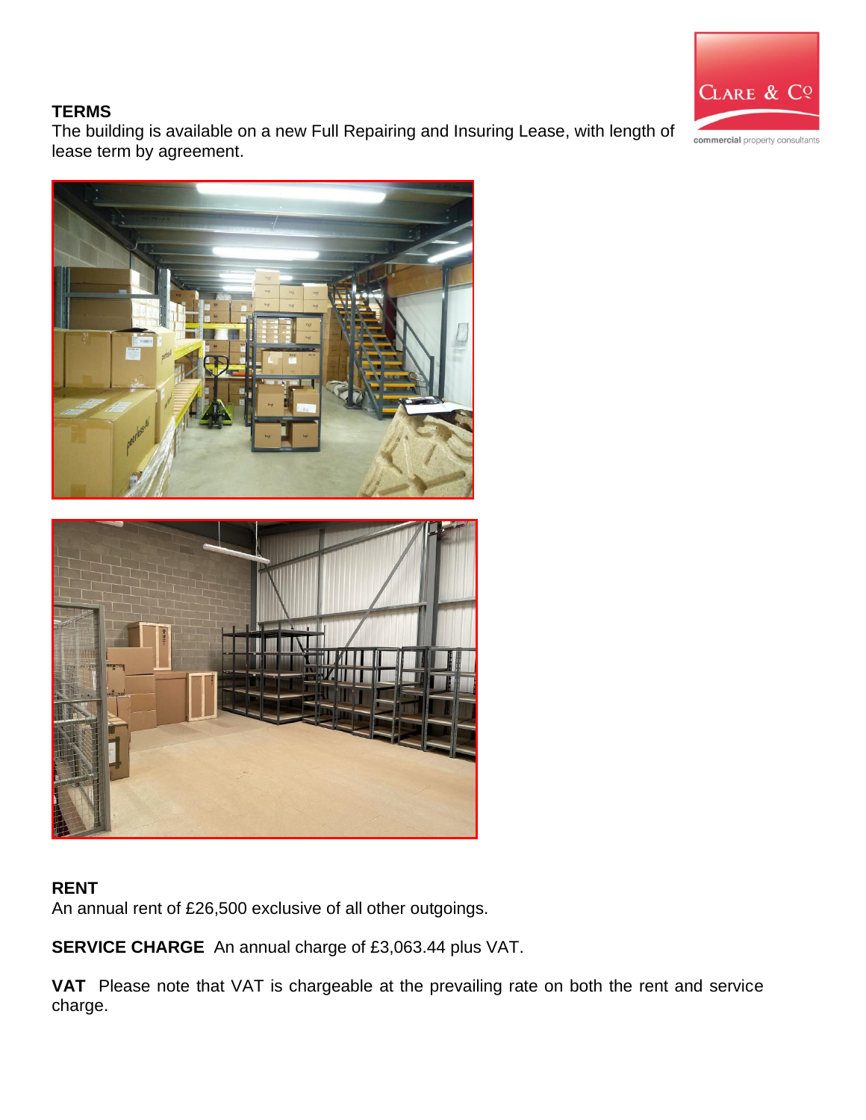

### **TERMS**

The building is available on a new Full Repairing and Insuring Lease, with length of lease term by agreement.





## **RENT**

An annual rent of £26,500 exclusive of all other outgoings.

**SERVICE CHARGE** An annual charge of £3,063.44 plus VAT.

**VAT** Please note that VAT is chargeable at the prevailing rate on both the rent and service charge.